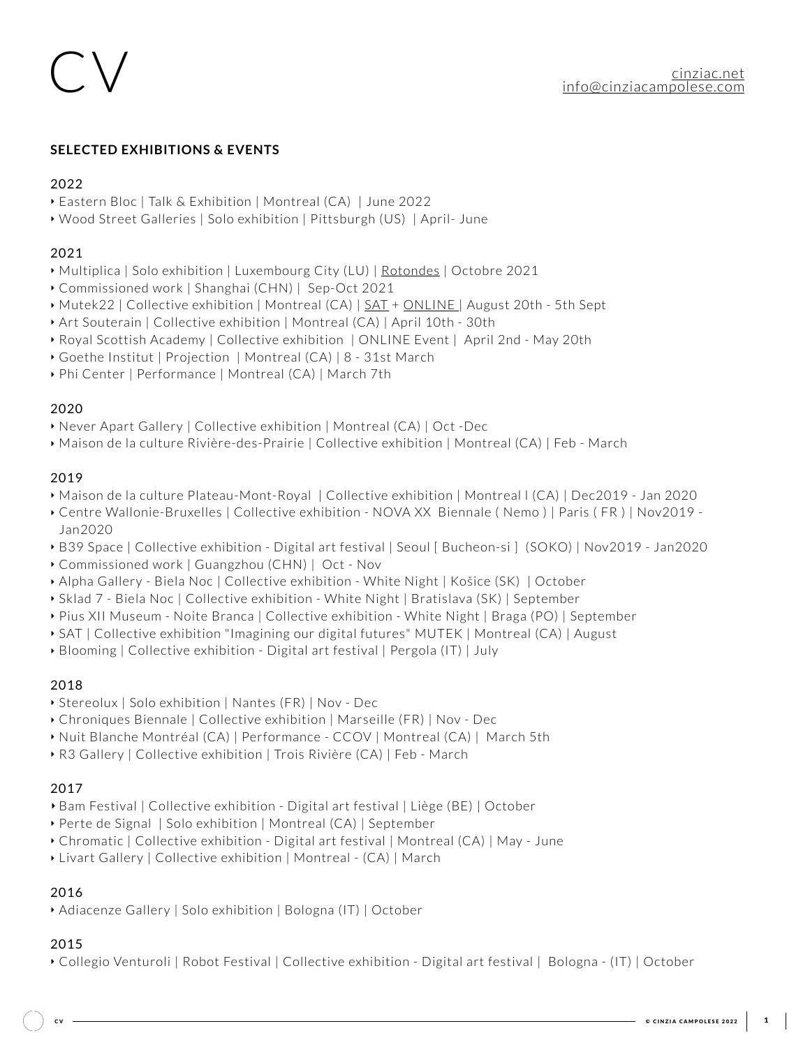# CV

# **SELECTED EXHIBITIONS & EVENTS**

# 2022

‣ Eastern Bloc | Talk & Exhibition | Montreal (CA) | June 2022

‣ Wood Street Galleries | Solo exhibition | Pittsburgh (US) | April- June

## 2021

‣ Multiplica | Solo exhibition | Luxembourg City (LU) | [Rotondes](https://en.multiplica.lu/) | Octobre 2021

- ‣ Commissioned work | Shanghai (CHN) | Sep-Oct 2021
- ▶ Mutek22 | Collective exhibition | Montreal (CA) | [SAT](https://montreal.mutek.org/en/special-projects/mutek-exhibition-society-for-arts-and-technology-sat) + [ONLINE](https://montreal.mutek.org/en/special-projects/virtual-wonders?ltclid=48a749ee-a8a0-4520-8528-3331b55e31ec) | August 20th 5th Sept
- ‣ Art Souterain | Collective exhibition | Montreal (CA) | April 10th 30th
- ‣ Royal Scottish Academy | Collective exhibition | ONLINE Event | April 2nd May 20th
- ‣ Goethe Institut | Projection | Montreal (CA) | 8 31st March
- ‣ Phi Center | Performance | Montreal (CA) | March 7th

## 2020

‣ Never Apart Gallery | Collective exhibition | Montreal (CA) | Oct -Dec

- 
- ‣ Maison de la culture Rivière-des-Prairie | Collective exhibition | Montreal (CA) | Feb March

# 2019

- ‣ Maison de la culture Plateau-Mont-Royal | Collective exhibition | Montreal l (CA) | Dec2019 Jan 2020
- ‣ Centre Wallonie-Bruxelles | Collective exhibition NOVA XX Biennale ( Nemo ) | Paris ( FR ) | Nov2019 Jan2020
- ‣ B39 Space | Collective exhibition Digital art festival | Seoul [ Bucheon-si ] (SOKO) | Nov2019 Jan2020
- ‣ Commissioned work | Guangzhou (CHN) | Oct Nov
- ‣ Alpha Gallery Biela Noc | Collective exhibition White Night | Košice (SK) | October
- ‣ Sklad 7 Biela Noc | Collective exhibition White Night | Bratislava (SK) | September
- ‣ Pius XII Museum Noite Branca | Collective exhibition White Night | Braga (PO) | September
- ‣ SAT | Collective exhibition "Imagining our digital futures" MUTEK | Montreal (CA) | August
- ‣ Blooming | Collective exhibition Digital art festival | Pergola (IT) | July

# 2018

- ‣ Stereolux | Solo exhibition | Nantes (FR) | Nov Dec
- ‣ Chroniques Biennale | Collective exhibition | Marseille (FR) | Nov Dec
- ‣ Nuit Blanche Montréal (CA) | Performance CCOV | Montreal (CA) | March 5th
- ‣ R3 Gallery | Collective exhibition | Trois Rivière (CA) | Feb March

# 2017

- **‣** Bam Festival | Collective exhibition Digital art festival | Liège (BE) | October
- ‣ Perte de Signal | Solo exhibition | Montreal (CA) | September
- ‣ Chromatic | Collective exhibition Digital art festival | Montreal (CA) | May June
- 

#### ‣ Livart Gallery | Collective exhibition | Montreal - (CA) | March

#### 2016

### ‣ Adiacenze Gallery | Solo exhibition | Bologna (IT) | October

#### 2015

‣ Collegio Venturoli | Robot Festival | Collective exhibition - Digital art festival | Bologna - (IT) | October

© CINZIA CAMPOLESE 2022

[cinziac.net](http://cinziac.net) [info@cinziacampolese.com](mailto:info@cinziacampolese.com)